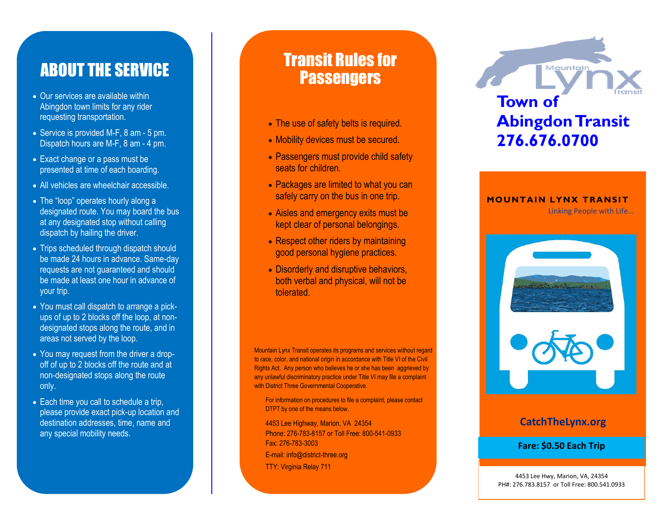## ABOUT THE SERVICE

- Our services are available within Abingdon town limits for any rider requesting transportation.
- Service is provided M-F, 8 am 5 pm. Dispatch hours are M-F, 8 am - 4 pm.
- Exact change or a pass must be presented at time of each boarding.
- All vehicles are wheelchair accessible.
- The "loop" operates hourly along a designated route. You may board the bus at any designated stop without calling dispatch by hailing the driver.
- Trips scheduled through dispatch should be made 24 hours in advance. Same -day requests are not guaranteed and should be made at least one hour in advance of your trip.
- You must call dispatch to arrange a pick ups of up to 2 blocks off the loop, at non designated stops along the route, and in areas not served by the loop.
- You may request from the driver a drop off of up to 2 blocks off the route and at non -designated stops along the route only.
- Each time you call to schedule a trip, please provide exact pick -up location and destination addresses, time, name and any special mobility needs.

## Transit Rules for **Passengers**

- 
- 
- seats for children.
- Packages are limited to what you can safely carry on the bus in one trip.
- Aisles and emergency exits must be kept clear of personal belongings.
- Respect other riders by maintaining good personal hygiene practices.
- Disorderly and disruptive behaviors, both verbal and physical, will not be tolerated.

Mountain Lynx Transit operates its programs and services without regard to race, color, and national origin in accordance with Title VI of the Civil Rights Act. Any person who believes he or she has been aggrieved by any unlawful discriminatory practice under Title VI may file a complaint with District Three Governmental Cooperative.

For information on procedures to file a complaint, please contact DTPT by one of the means below.

4453 Lee Highway, Marion, VA 24354 Phone: 276 -783 -8157 or Toll Free: 800 -541 -0933 Fax: 276 -783 -3003 E -mail: info@district -three.org • The use of safety belts is required.<br>• Mobility devices must be secured.<br>• Passengers must provide child safety<br>seats for children.<br>• Packages are limited to what you can<br>safely carry on the bus in one trip.<br>• Aisles an

# Mountair **Town of Abingdon Transit 276.676.0700**

#### **MOUNTAIN LYNX TRANSIT**

**Example 19 Except Linking People with Life...** 



### **CatchTheLynx.org**

**Fare: \$0.50 Each Trip**

4453 Lee Hwy, Marion, VA, 24354 PH#: 276.783.8157 or Toll Free: 800.541.0933